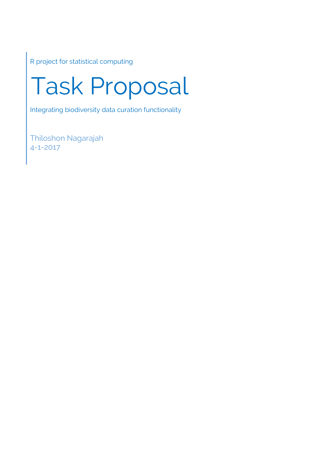R project for statistical computing

# Task Proposal

Integrating biodiversity data curation functionality

Thiloshon Nagarajah 4-1-2017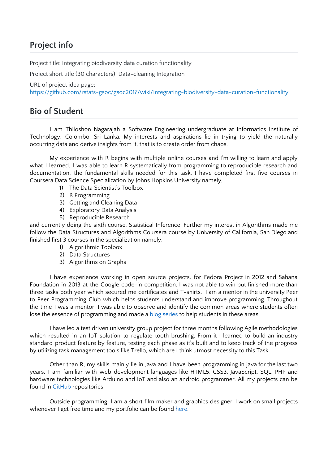# **Project info**

Project title: Integrating biodiversity data curation functionality

Project short title (30 characters): Data-cleaning Integration

URL of project idea page:

<https://github.com/rstats-gsoc/gsoc2017/wiki/Integrating-biodiversity-data-curation-functionality>

# **Bio of Student**

I am Thiloshon Nagarajah a Software Engineering undergraduate at Informatics Institute of Technology, Colombo, Sri Lanka. My interests and aspirations lie in trying to yield the naturally occurring data and derive insights from it, that is to create order from chaos.

My experience with R begins with multiple online courses and I'm willing to learn and apply what I learned. I was able to learn R systematically from programming to reproducible research and documentation, the fundamental skills needed for this task. I have completed first five courses in Coursera Data Science Specialization by Johns Hopkins University namely,

- 1) The Data Scientist's Toolbox
- 2) R Programming
- 3) Getting and Cleaning Data
- 4) Exploratory Data Analysis
- 5) Reproducible Research

and currently doing the sixth course, Statistical Inference. Further my interest in Algorithms made me follow the Data Structures and Algorithms Coursera course by University of California, San Diego and finished first 3 courses in the specialization namely,

- 1) Algorithmic Toolbox
- 2) Data Structures
- 3) Algorithms on Graphs

I have experience working in open source projects, for Fedora Project in 2012 and Sahana Foundation in 2013 at the Google code-in competition. I was not able to win but finished more than three tasks both year which secured me certificates and T-shirts. I am a mentor in the university Peer to Peer Programming Club which helps students understand and improve programming. Throughout the time I was a mentor, I was able to observe and identify the common areas where students often lose the essence of programming and made a blog [series](https://thiloshonresides.blogspot.com/2017/03/how-to-ace-iit-1st-year-courseworks.html) to help students in these areas.

I have led a test driven university group project for three months following Agile methodologies which resulted in an IoT solution to regulate tooth brushing. From it I learned to build an industry standard product feature by feature, testing each phase as it's built and to keep track of the progress by utilizing task management tools like Trello, which are I think utmost necessity to this Task.

Other than R, my skills mainly lie in Java and I have been programming in java for the last two years. I am familiar with web development languages like HTML5, CSS3, JavaScript, SQL, PHP and hardware technologies like Arduino and IoT and also an android programmer. All my projects can be found in [GitHub](https://github.com/thiloshon) [r](https://github.com/thiloshon)epositories.

Outside programming, I am a short film maker and graphics designer. I work on small projects whenever I get free time and my portfolio can be found [here.](https://www.youtube.com/playlist?list=PLyFPQk8apTMzKJ2-iL0iOxXadAGHp9UYC)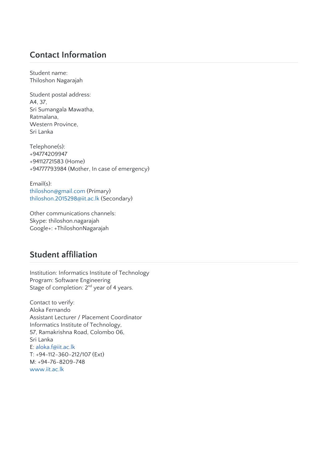# **Contact Information**

Student name: Thiloshon Nagarajah

Student postal address: A4, 37, Sri Sumangala Mawatha, Ratmalana, Western Province, Sri Lanka

Telephone(s): +94774209947 +94112721583 (Home) +94777793984 (Mother, In case of emergency)

Email(s): [thiloshon@gmail.com](mailto:thiloshon@gmail.com) (Primary) [thiloshon.2015298@iit.ac.lk](mailto:thiloshon.2015298@iit.ac.lk) (Secondary)

Other communications channels: Skype: thiloshon.nagarajah Google+: +ThiloshonNagarajah

# **Student affiliation**

Institution: Informatics Institute of Technology Program: Software Engineering Stage of completion:  $2^{nd}$  year of 4 years.

Contact to verify: Aloka Fernando Assistant Lecturer / Placement Coordinator Informatics Institute of Technology, 57, Ramakrishna Road, Colombo 06, Sri Lanka E: [aloka.f@iit.ac.lk](mailto:aloka.f@iit.ac.lk) T: +94-112-360-212/107 (Ext) M: +94-76-8209-748 [www.iit.ac.lk](http://www.iit.ac.lk/)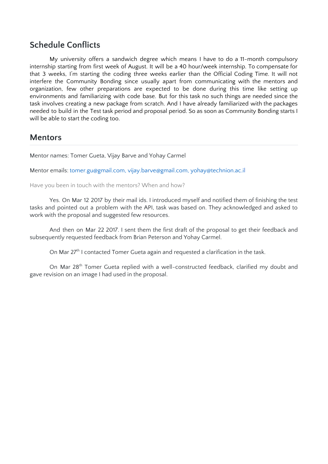### **Schedule Conflicts**

My university offers a sandwich degree which means I have to do a 11-month compulsory internship starting from first week of August. It will be a 40 hour/week internship. To compensate for that 3 weeks, I'm starting the coding three weeks earlier than the Official Coding Time. It will not interfere the Community Bonding since usually apart from communicating with the mentors and organization, few other preparations are expected to be done during this time like setting up environments and familiarizing with code base. But for this task no such things are needed since the task involves creating a new package from scratch. And I have already familiarized with the packages needed to build in the Test task period and proposal period. So as soon as Community Bonding starts I will be able to start the coding too.

### **Mentors**

Mentor names: Tomer Gueta, Vijay Barve and Yohay Carmel

Mentor emails: [tomer.gu@gmail.com,](mailto:tomer.gu@gmail.com) [vijay.barve@gmail.com](mailto:vijay.barve@gmail.com), [yohay@technion.ac.il](mailto:yohay@technion.ac.il)

Have you been in touch with the mentors? When and how?

Yes. On Mar 12 2017 by their mail ids. I introduced myself and notified them of finishing the test tasks and pointed out a problem with the API, task was based on. They acknowledged and asked to work with the proposal and suggested few resources.

And then on Mar 22 2017. I sent them the first draft of the proposal to get their feedback and subsequently requested feedback from Brian Peterson and Yohay Carmel.

On Mar 27<sup>th</sup> I contacted Tomer Gueta again and requested a clarification in the task.

On Mar 28<sup>th</sup> Tomer Gueta replied with a well-constructed feedback, clarified my doubt and gave revision on an image I had used in the proposal.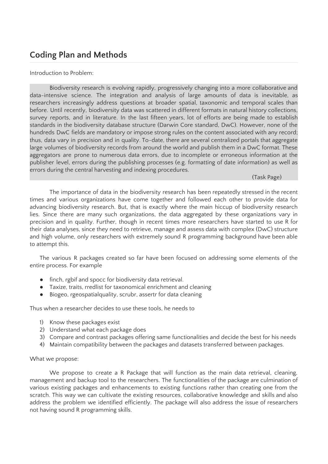# **Coding Plan and Methods**

### Introduction to Problem:

Biodiversity research is evolving rapidly, progressively changing into a more collaborative and data-intensive science. The integration and analysis of large amounts of data is inevitable, as researchers increasingly address questions at broader spatial, taxonomic and temporal scales than before. Until recently, biodiversity data was scattered in different formats in natural history collections, survey reports, and in literature. In the last fifteen years, lot of efforts are being made to establish standards in the biodiversity database structure (Darwin Core standard, DwC). However, none of the hundreds DwC fields are mandatory or impose strong rules on the content associated with any record; thus, data vary in precision and in quality. To-date, there are several centralized portals that aggregate large volumes of biodiversity records from around the world and publish them in a DwC format. These aggregators are prone to numerous data errors, due to incomplete or erroneous information at the publisher level, errors during the publishing processes (e.g. formatting of date information) as well as errors during the central harvesting and indexing procedures.

### (Task Page)

The importance of data in the biodiversity research has been repeatedly stressed in the recent times and various organizations have come together and followed each other to provide data for advancing biodiversity research. But, that is exactly where the main hiccup of biodiversity research lies. Since there are many such organizations, the data aggregated by these organizations vary in precision and in quality. Further, though in recent times more researchers have started to use R for their data analyses, since they need to retrieve, manage and assess data with complex (DwC) structure and high volume, only researchers with extremely sound R programming background have been able to attempt this.

The various R packages created so far have been focused on addressing some elements of the entire process. For example

- finch, rgbif and spocc for biodiversity data retrieval.
- Taxize, traits, rredlist for taxonomical enrichment and cleaning
- Biogeo, rgeospatialquality, scrubr, assertr for data cleaning

Thus when a researcher decides to use these tools, he needs to

- 1) Know these packages exist
- 2) Understand what each package does
- 3) Compare and contrast packages offering same functionalities and decide the best for his needs
- 4) Maintain compatibility between the packages and datasets transferred between packages.

### What we propose:

We propose to create a R Package that will function as the main data retrieval, cleaning, management and backup tool to the researchers. The functionalities of the package are culmination of various existing packages and enhancements to existing functions rather than creating one from the scratch. This way we can cultivate the existing resources, collaborative knowledge and skills and also address the problem we identified efficiently. The package will also address the issue of researchers not having sound R programming skills.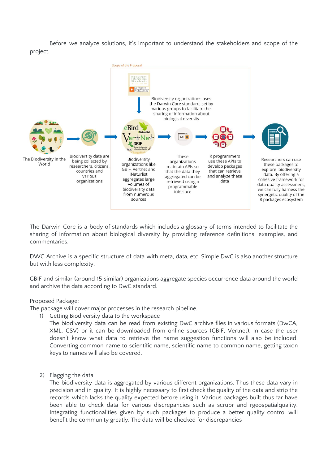Before we analyze solutions, it's important to understand the stakeholders and scope of the project.



The Darwin Core is a body of standards which includes a glossary of terms intended to facilitate the sharing of information about biological diversity by providing reference definitions, examples, and commentaries.

DWC Archive is a specific structure of data with meta, data, etc. Simple DwC is also another structure but with less complexity.

GBIF and similar (around 15 similar) organizations aggregate species occurrence data around the world and archive the data according to DwC standard.

### Proposed Package:

The package will cover major processes in the research pipeline.

1) Getting Biodiversity data to the workspace

The biodiversity data can be read from existing DwC archive files in various formats (DwCA, XML, CSV) or it can be downloaded from online sources (GBIF, Vertnet). In case the user doesn't know what data to retrieve the name suggestion functions will also be included. Converting common name to scientific name, scientific name to common name, getting taxon keys to names will also be covered.

2) Flagging the data

The biodiversity data is aggregated by various different organizations. Thus these data vary in precision and in quality. It is highly necessary to first check the quality of the data and strip the records which lacks the quality expected before using it. Various packages built thus far have been able to check data for various discrepancies such as scrubr and rgeospatialquality. Integrating functionalities given by such packages to produce a better quality control will benefit the community greatly. The data will be checked for discrepancies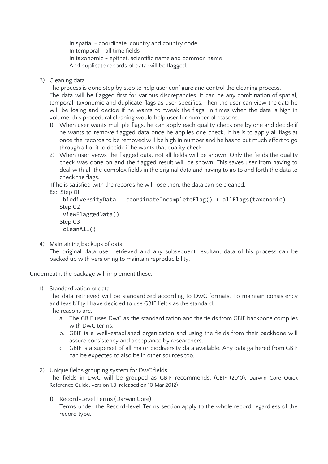In spatial - coordinate, country and country code In temporal - all time fields In taxonomic - epithet, scientific name and common name And duplicate records of data will be flagged.

3) Cleaning data

The process is done step by step to help user configure and control the cleaning process. The data will be flagged first for various discrepancies. It can be any combination of spatial, temporal, taxonomic and duplicate flags as user specifies. Then the user can view the data he will be losing and decide if he wants to tweak the flags. In times when the data is high in volume, this procedural cleaning would help user for number of reasons.

- 1) When user wants multiple flags, he can apply each quality check one by one and decide if he wants to remove flagged data once he applies one check. If he is to apply all flags at once the records to be removed will be high in number and he has to put much effort to go through all of it to decide if he wants that quality check
- 2) When user views the flagged data, not all fields will be shown. Only the fields the quality check was done on and the flagged result will be shown. This saves user from having to deal with all the complex fields in the original data and having to go to and forth the data to check the flags.

If he is satisfied with the records he will lose then, the data can be cleaned.

Ex: Step 01

```
biodiversityData + coordinateIncompleteFlag() + allFlags(taxonomic)
Step 02
viewFlaggedData()
Step 03
cleanAll()
```
4) Maintaining backups of data

The original data user retrieved and any subsequent resultant data of his process can be backed up with versioning to maintain reproducibility.

Underneath, the package will implement these,

1) Standardization of data

The data retrieved will be standardized according to DwC formats. To maintain consistency and feasibility I have decided to use GBIF fields as the standard. The reasons are,

- a. The GBIF uses DwC as the standardization and the fields from GBIF backbone complies with DwC terms.
- b. GBIF is a well-established organization and using the fields from their backbone will assure consistency and acceptance by researchers.
- c. GBIF is a superset of all major biodiversity data available. Any data gathered from GBIF can be expected to also be in other sources too.
- 2) Unique fields grouping system for DwC fields The fields in DwC will be grouped as GBIF recommends. (GBIF (2010). Darwin Core Quick Reference Guide, version 1.3, released on 10 Mar 2012)
	- 1) Record-Level Terms (Darwin Core) Terms under the Record-level Terms section apply to the whole record regardless of the record type.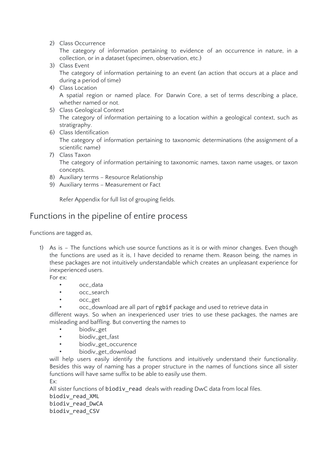2) Class Occurrence

The category of information pertaining to evidence of an occurrence in nature, in a collection, or in a dataset (specimen, observation, etc.)

- 3) Class Event The category of information pertaining to an event (an action that occurs at a place and during a period of time)
- 4) Class Location A spatial region or named place. For Darwin Core, a set of terms describing a place, whether named or not.
- 5) Class Geological Context The category of information pertaining to a location within a geological context, such as stratigraphy.
- 6) Class Identification The category of information pertaining to taxonomic determinations (the assignment of a scientific name)
- 7) Class Taxon The category of information pertaining to taxonomic names, taxon name usages, or taxon concepts.
- 8) Auxiliary terms Resource Relationship
- 9) Auxiliary terms Measurement or Fact

Refer Appendix for full list of grouping fields.

## Functions in the pipeline of entire process

Functions are tagged as,

1) As is – The functions which use source functions as it is or with minor changes. Even though the functions are used as it is, I have decided to rename them. Reason being, the names in these packages are not intuitively understandable which creates an unpleasant experience for inexperienced users.

For ex:

- occ\_data
- occ\_search
- occ\_get
	- occ\_download are all part of rgbif package and used to retrieve data in

different ways. So when an inexperienced user tries to use these packages, the names are misleading and baffling. But converting the names to

- biodiv\_get
- biodiv\_get\_fast
- biodiv\_get\_occurence
- biodiv\_get\_download

will help users easily identify the functions and intuitively understand their functionality. Besides this way of naming has a proper structure in the names of functions since all sister functions will have same suffix to be able to easily use them. Ex:

All sister functions of biodiv\_read deals with reading DwC data from local files.

biodiv\_read\_XML biodiv\_read\_DwCA biodiv\_read\_CSV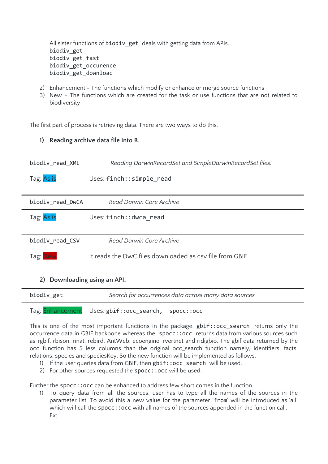All sister functions of biodiv\_get deals with getting data from APIs. biodiv\_get biodiv\_get\_fast biodiv\_get\_occurence biodiv\_get\_download

- 2) Enhancement The functions which modify or enhance or merge source functions
- 3) New The functions which are created for the task or use functions that are not related to biodiversity

The first part of process is retrieving data. There are two ways to do this.

### **1) Reading archive data file into R.**

|            | biodiv read XML  | Reading DarwinRecordSet and SimpleDarwinRecordSet files. |
|------------|------------------|----------------------------------------------------------|
| Tag: As is |                  | Uses: finch:: simple read                                |
|            |                  |                                                          |
|            | biodiv read DwCA | Read Darwin Core Archive                                 |
| Tag: As is |                  | Uses: finch:: dwca read                                  |
|            |                  |                                                          |
|            | biodiv_read_CSV  | Read Darwin Core Archive                                 |
| Tag: New   |                  | It reads the DwC files downloaded as csy file from GBIF  |
| 2)         |                  | Downloading using an API.                                |

| biodiv get | Search for occurrences data across many data sources |
|------------|------------------------------------------------------|
|            | Tag: Enhancement Uses: gbif::occ_search, spocc::occ  |

This is one of the most important functions in the package.  $gbif:i$  occ search returns only the occurrence data in GBIF backbone whereas the spocc:: occ returns data from various sources such as rgbif, rbison, rinat, rebird, AntWeb, ecoengine, rvertnet and ridigbio. The gbif data returned by the occ function has 5 less columns than the original occ\_search function namely, identifiers, facts, relations, species and speciesKey. So the new function will be implemented as follows,

- 1) If the user queries data from GBIF, then gbif::occ search will be used.
- 2) For other sources requested the spocc:: occ will be used.

Further the spocc:: occ can be enhanced to address few short comes in the function.

1) To query data from all the sources, user has to type all the names of the sources in the parameter list. To avoid this a new value for the parameter 'from' will be introduced as 'all' which will call the spocc:: occ with all names of the sources appended in the function call. Ex: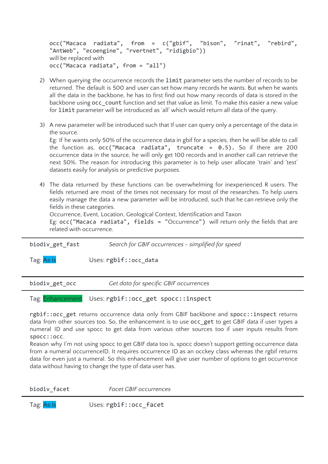```
occ("Macaca radiata", from = c("gbif", "bison", "rinat", "rebird",
"AntWeb", "ecoengine", "rvertnet", "ridigbio"))
will be replaced with
occ("Macaca radiata", from = "all")
```
- 2) When querying the occurrence records the limit parameter sets the number of records to be returned. The default is 500 and user can set how many records he wants. But when he wants all the data in the backbone, he has to first find out how many records of data is stored in the backbone using occ\_count function and set that value as limit. To make this easier a new value for limit parameter will be introduced as 'all' which would return all data of the query.
- 3) A new parameter will be introduced such that If user can query only a percentage of the data in the source.

Eg: If he wants only 50% of the occurrence data in gbif for a species, then he will be able to call the function as,  $occ("Macaca radial", truncate = 0.5)$ . So if there are 200 occurrence data in the source, he will only get 100 records and in another call can retrieve the next 50%. The reason for introducing this parameter is to help user allocate 'train' and 'test' datasets easily for analysis or predictive purposes.

4) The data returned by these functions can be overwhelming for inexperienced R users. The fields returned are most of the times not necessary for most of the researches. To help users easily manage the data a new parameter will be introduced, such that he can retrieve only the fields in these categories.

Occurrence, Event, Location, Geological Context, Identification and Taxon

Eg: occ("Macaca radiata", fields = "Occurrence") will return only the fields that are related with occurrence.

| biodiv get fast | Search for GBIF occurrences - simplified for speed |  |
|-----------------|----------------------------------------------------|--|
| Tag: As is      | Uses: rgbif::occ_data                              |  |
|                 |                                                    |  |
| biodiv get occ  | Get data for specific GBIF occurrences             |  |
|                 |                                                    |  |

Tag: Enhancement Uses: rgbif:: occ\_get spocc:: inspect

rgbif::occ\_get returns occurrence data only from GBIF backbone and spocc::inspect returns data from other sources too. So, the enhancement is to use occ\_get to get GBIF data if user types a numeral ID and use spocc to get data from various other sources too if user inputs results from spocc::occ.

Reason why I'm not using spocc to get GBIF data too is, spocc doesn't support getting occurrence data from a numeral occurrenceID. It requires occurrence ID as an occkey class whereas the rgbif returns data for even just a numeral. So this enhancement will give user number of options to get occurrence data without having to change the type of data user has.

biodiv\_facet *Facet GBIF occurrences*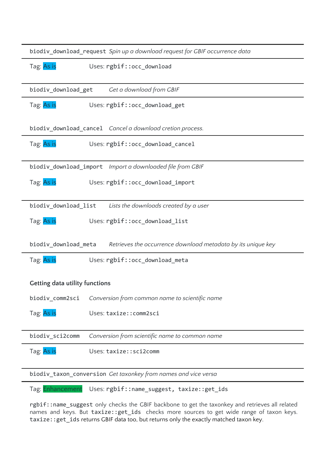| biodiv_download_request Spin up a download request for GBIF occurrence data          |  |  |  |  |
|--------------------------------------------------------------------------------------|--|--|--|--|
| Tag: As is<br>Uses: rgbif::occ_download                                              |  |  |  |  |
| biodiv_download_get<br>Get a download from GBIF                                      |  |  |  |  |
| Tag: As is<br>Uses: rgbif::occ_download_get                                          |  |  |  |  |
| biodiv_download_cancel Cancel a download cretion process.                            |  |  |  |  |
| Tag: As is<br>Uses: rgbif::occ_download_cancel                                       |  |  |  |  |
|                                                                                      |  |  |  |  |
| Tag: As is<br>Uses: rgbif::occ download import                                       |  |  |  |  |
| Lists the downloads created by a user<br>biodiv_download_list                        |  |  |  |  |
| Tag: As is<br>Uses: rgbif::occ_download_list                                         |  |  |  |  |
| biodiv_download_meta<br>Retrieves the occurrence download metadata by its unique key |  |  |  |  |
| Tag: As is<br>Uses: rgbif::occ_download_meta                                         |  |  |  |  |
| <b>Getting data utility functions</b>                                                |  |  |  |  |
| biodiv_comm2sci<br>Conversion from common name to scientific name                    |  |  |  |  |
| Tag: As is<br>Uses: taxize:: comm2sci                                                |  |  |  |  |
| Conversion from scientific name to common name<br>biodiv_sci2comm                    |  |  |  |  |
| Tag: As is<br>Uses: taxize::sci2comm                                                 |  |  |  |  |
| biodiv_taxon_conversion Get taxonkey from names and vice versa                       |  |  |  |  |
| Tag: Enhancement<br>Uses: rgbif::name_suggest, taxize::get_ids                       |  |  |  |  |

rgbif::name\_suggest only checks the GBIF backbone to get the taxonkey and retrieves all related names and keys. But taxize::get\_ids checks more sources to get wide range of taxon keys. taxize::get\_ids returns GBIF data too, but returns only the exactly matched taxon key.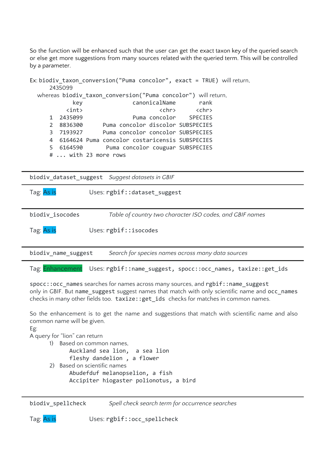So the function will be enhanced such that the user can get the exact taxon key of the queried search or else get more suggestions from many sources related with the queried term. This will be controlled by a parameter.

```
Ex: biodiv_taxon_conversion("Puma concolor", exact = TRUE) will return,
      2435099
  whereas biodiv_taxon_conversion("Puma concolor") will return,
              key canonicalName rank
            <int> <chr> <chr> <chr> <chr> <chr> <chr> <chr> <chr> <chr> <chr> <chr> <chr> <ch
      1 2435099 Puma concolor SPECIES
      2 8836300 Puma concolor discolor SUBSPECIES<br>3 7193927 Puma concolor concolor SUBSPECIES
                        Puma concolor concolor SUBSPECIES
      4 6164624 Puma concolor costaricensis SUBSPECIES
      5 6164590 Puma concolor couguar SUBSPECIES
      # ... with 23 more rows
```
biodiv\_dataset\_suggest *Suggest datasets in GBIF*

| Tag: As is          | Uses: rgbif::dataset_suggest                             |
|---------------------|----------------------------------------------------------|
| biodiv isocodes     | Table of country two character ISO codes, and GBIF names |
| Tag: As is          | Uses: rgbif::isocodes                                    |
| biodiv_name_suggest | Search for species names across many data sources        |
|                     |                                                          |

Tag: Enhancement Uses: rgbif::name\_suggest, spocc::occ\_names, taxize::get ids

spocc:: occ\_names searches for names across many sources, and rgbif::name\_suggest only in GBIF. But name\_suggest suggest names that match with only scientific name and occ\_names checks in many other fields too. taxize:: get\_ids checks for matches in common names.

So the enhancement is to get the name and suggestions that match with scientific name and also common name will be given.

Eg:

A query for "lion" can return

```
1) Based on common names,
      Auckland sea lion, a sea lion
      fleshy dandelion , a flower
2) Based on scientific names
      Abudefduf melanopselion, a fish
      Accipiter hiogaster polionotus, a bird
```
biodiv\_spellcheck *Spell check search term for occurrence searches*

Tag: As is Uses: rgbif::occ\_spellcheck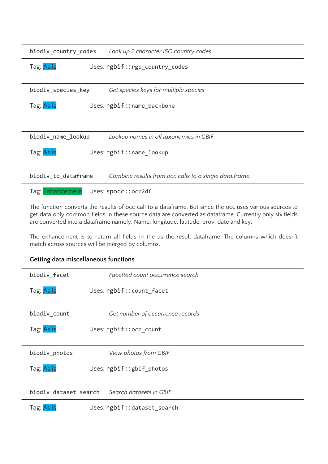| biodiv_country_codes | Look up 2 character ISO country codes                 |  |  |  |
|----------------------|-------------------------------------------------------|--|--|--|
| Tag: As is           | Uses: rgbif::rgb_country_codes                        |  |  |  |
|                      |                                                       |  |  |  |
| biodiv_species_key   | Get species keys for multiple species                 |  |  |  |
| Tag: As is           | Uses: rgbif::name_backbone                            |  |  |  |
|                      |                                                       |  |  |  |
| biodiv_name_lookup   | Lookup names in all taxonomies in GBIF                |  |  |  |
| Tag: As is           | Uses: rgbif::name_lookup                              |  |  |  |
| biodiv_to_dataframe  | Combine results from occ calls to a single data.frame |  |  |  |
| Tag: Enhancement     | Uses: spocc::occ2df                                   |  |  |  |

The function converts the results of occ call to a dataframe. But since the occ uses various sources to get data only common fields in these source data are converted as dataframe. Currently only six fields are converted into a dataframe namely, Name, longitude, latitude, prov, date and key.

The enhancement is to return all fields in the as the result dataframe. The columns which doesn't match across sources will be merged by columns.

### **Getting data miscellaneous functions**

| biodiv_facet  | Facetted count occurrence search              |
|---------------|-----------------------------------------------|
| Tag: As is    | Uses: rgbif:: count_facet                     |
| biodiv_count  | Get number of occurrence records              |
| Tag: As is    | Uses: rgbif::occ_count                        |
|               |                                               |
| biodiv_photos | View photos from GBIF                         |
| Tag: As is    | Uses: rgbif::gbif_photos                      |
|               |                                               |
|               | biodiv_dataset_search Search datasets in GBIF |
|               |                                               |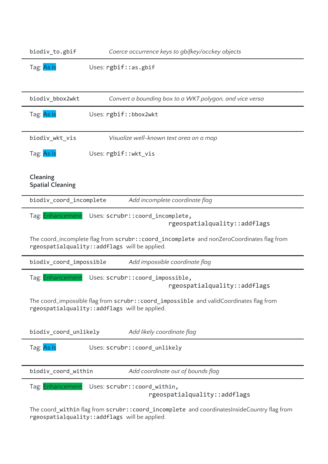| biodiv to.gbif                                                                                                                           | Coerce occurrence keys to gbifkey/occkey objects                                                                                            |  |  |  |
|------------------------------------------------------------------------------------------------------------------------------------------|---------------------------------------------------------------------------------------------------------------------------------------------|--|--|--|
| Tag: As is                                                                                                                               | Uses: rgbif::as.gbif                                                                                                                        |  |  |  |
|                                                                                                                                          |                                                                                                                                             |  |  |  |
| biodiv_bbox2wkt                                                                                                                          | Convert a bounding box to a WKT polygon, and vice versa                                                                                     |  |  |  |
| Tag: As is                                                                                                                               | Uses: rgbif::bbox2wkt                                                                                                                       |  |  |  |
| biodiv_wkt_vis                                                                                                                           | Visualize well-known text area on a map                                                                                                     |  |  |  |
| Tag: As is                                                                                                                               | Uses: rgbif::wkt_vis                                                                                                                        |  |  |  |
| Cleaning<br><b>Spatial Cleaning</b>                                                                                                      |                                                                                                                                             |  |  |  |
| biodiv_coord_incomplete                                                                                                                  | Add incomplete coordinate flag                                                                                                              |  |  |  |
| Tag: Enhancement                                                                                                                         | Uses: scrubr:: coord_incomplete,<br>rgeospatialquality::addflags                                                                            |  |  |  |
|                                                                                                                                          | The coord_incomplete flag from scrubr:: coord_incomplete and nonZeroCoordinates flag from<br>rgeospatialquality:: addflags will be applied. |  |  |  |
| biodiv_coord_impossible                                                                                                                  | Add impossible coordinate flag                                                                                                              |  |  |  |
| Tag: Enhancement                                                                                                                         | Uses: scrubr:: coord_impossible,<br>rgeospatialquality::addflags                                                                            |  |  |  |
| The coord_impossible flag from scrubr::coord_impossible and validCoordinates flag from<br>rgeospatialquality:: addflags will be applied. |                                                                                                                                             |  |  |  |
| biodiv_coord_unlikely                                                                                                                    | Add likely coordinate flag                                                                                                                  |  |  |  |
| Tag: As is                                                                                                                               | Uses: scrubr:: coord_unlikely                                                                                                               |  |  |  |
| biodiv_coord_within                                                                                                                      | Add coordinate out of bounds flag                                                                                                           |  |  |  |
| Tag: Enhancement                                                                                                                         | Uses: scrubr:: coord_within,<br>rgeospatialquality::addflags                                                                                |  |  |  |
|                                                                                                                                          |                                                                                                                                             |  |  |  |

The coord\_within flag from scrubr::coord\_incomplete and coordinatesInsideCountry flag from rgeospatialquality::addflags will be applied.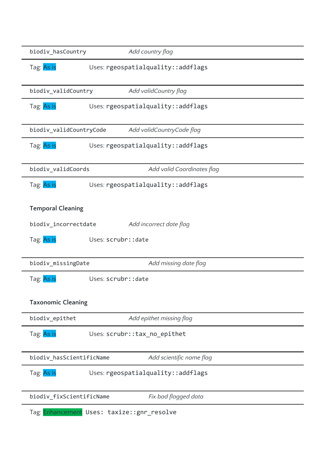| biodiv_hasCountry         | Add country flag                           |  |
|---------------------------|--------------------------------------------|--|
| Tag: As is                | Uses: rgeospatialquality::addflags         |  |
| biodiv_validCountry       | Add validCountry flag                      |  |
| Tag: As is                | Uses: rgeospatialquality::addflags         |  |
| biodiv_validCountryCode   | Add validCountryCode flag                  |  |
| Tag: As is                | Uses: rgeospatialquality::addflags         |  |
| biodiv_validCoords        | Add valid Coordinates flag                 |  |
| Tag: As is                | Uses: rgeospatialquality::addflags         |  |
| <b>Temporal Cleaning</b>  |                                            |  |
| biodiv_incorrectdate      | Add incorrect date flag                    |  |
| Tag: As is                | Uses: scrubr:: date                        |  |
| biodiv_missingDate        | Add missing date flag                      |  |
| Tag: As is                | Uses: scrubr:: date                        |  |
| <b>Taxonomic Cleaning</b> |                                            |  |
| biodiv_epithet            | Add epithet missing flag                   |  |
| Tag: As is                | Uses: scrubr::tax_no_epithet               |  |
| biodiv_hasScientificName  | Add scientific name flag                   |  |
| Tag: As is                | Uses: rgeospatialquality::addflags         |  |
| biodiv_fixScientificName  | Fix bad flagged data                       |  |
|                           | Tag: Enhancement Uses: taxize::gnr_resolve |  |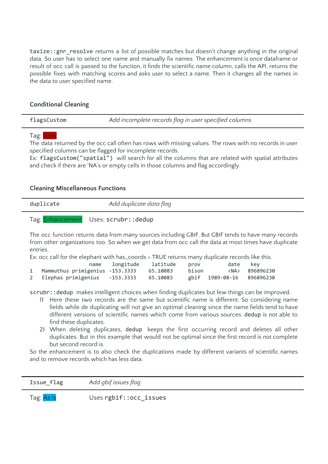taxize::gnr\_resolve returns a list of possible matches but doesn't change anything in the original data. So user has to select one name and manually fix names. The enhancement is once dataframe or result of occ call is passed to the function, it finds the scientific name column, calls the API, returns the possible fixes with matching scores and asks user to select a name. Then it changes all the names in the data to user specified name.

### **Conditional Cleaning**

| flagsCustom | Add incomplete records flag in user specified columns |
|-------------|-------------------------------------------------------|
|-------------|-------------------------------------------------------|

### Tag: New

The data returned by the occ call often has rows with missing values. The rows with no records in user specified columns can be flagged for incomplete records.

Ex: flagsCustom("spatial") will search for all the columns that are related with spatial attributes and check if there are 'NA's or empty cells in those columns and flag accordingly.

### **Cleaning Miscellaneous Functions**

| duplicate | Add duplicate data flag |
|-----------|-------------------------|
|           |                         |

# Tag: Enhancement Uses: scrubr:: dedup

The occ function returns data from many sources including GBIF. But GBIF tends to have many records from other organizations too. So when we get data from occ call the data at most times have duplicate entries.

Ex: occ call for the elephant with has\_coords = TRUE returns many duplicate records like this.

|                                            | name longitude latitude prov |       | date kev                  |                     |
|--------------------------------------------|------------------------------|-------|---------------------------|---------------------|
| 1 Mammuthus primigenius -153.3333 65.10083 |                              | bison |                           | <na> 896896230</na> |
| 2 Elephas primigenius -153.3333 65.10083   |                              |       | ebif 1989-08-16 896896230 |                     |

scrubr::dedup makes intelligent choices when finding duplicates but few things can be improved.

- 1) Here these two records are the same but scientific name is different. So considering name fields while de duplicating will not give an optimal cleaning since the name fields tend to have different versions of scientific names which come from various sources. dedup is not able to find these duplicates.
- 2) When deleting duplicates, dedup keeps the first occurring record and deletes all other duplicates. But in this example that would not be optimal since the first record is not complete but second record is.

So the enhancement is to also check the duplications made by different variants of scientific names and to remove records which has less data.

| C11Q<br>$1330C_$<br>$\overline{\phantom{a}}$ | $\sim$ $\sim$<br>,,,,,<br>ے<br>ے |
|----------------------------------------------|----------------------------------|
|                                              |                                  |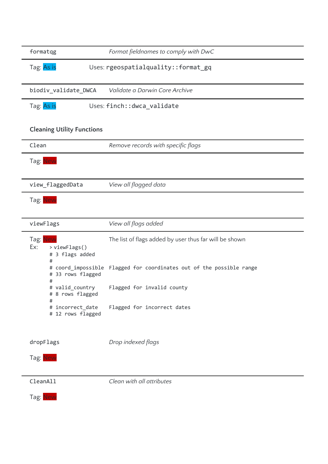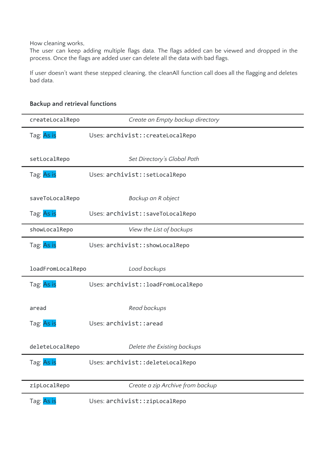How cleaning works,

The user can keep adding multiple flags data. The flags added can be viewed and dropped in the process. Once the flags are added user can delete all the data with bad flags.

If user doesn't want these stepped cleaning, the cleanAll function call does all the flagging and deletes bad data.

| createLocalRepo         | Create an Empty backup directory    |
|-------------------------|-------------------------------------|
| Tag: As is              | Uses: archivist:: createLocalRepo   |
| setLocalRepo            | Set Directory's Global Path         |
| Tag: As is              | Uses: archivist::setLocalRepo       |
| saveToLocalRepo         | Backup an R object                  |
| Tag: As is              | Uses: archivist::saveToLocalRepo    |
| showLocalRepo           | View the List of backups            |
| Tag: As is              | Uses: archivist:: showLocalRepo     |
| loadFromLocalRepo       | Load backups                        |
| Tag: As is              | Uses: archivist:: loadFromLocalRepo |
| aread                   | Read backups                        |
| Tag: As is              | Uses: archivist:: aread             |
| deleteLocalRepo         | Delete the Existing backups         |
| Tag: <mark>As is</mark> | Uses: archivist:: deleteLocalRepo   |
| zipLocalRepo            | Create a zip Archive from backup    |
| Tag: As is              | Uses: archivist::zipLocalRepo       |

### **Backup and retrieval functions**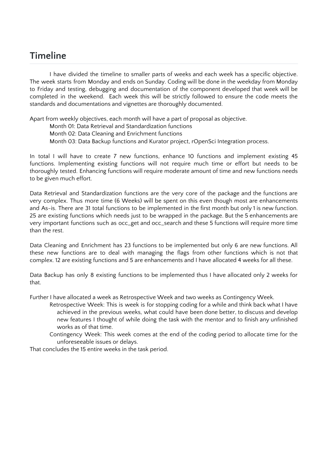# **Timeline**

I have divided the timeline to smaller parts of weeks and each week has a specific objective. The week starts from Monday and ends on Sunday. Coding will be done in the weekday from Monday to Friday and testing, debugging and documentation of the component developed that week will be completed in the weekend. Each week this will be strictly followed to ensure the code meets the standards and documentations and vignettes are thoroughly documented.

Apart from weekly objectives, each month will have a part of proposal as objective.

Month 01: Data Retrieval and Standardization functions

Month 02: Data Cleaning and Enrichment functions

Month 03: Data Backup functions and Kurator project, rOpenSci Integration process.

In total I will have to create 7 new functions, enhance 10 functions and implement existing 45 functions. Implementing existing functions will not require much time or effort but needs to be thoroughly tested. Enhancing functions will require moderate amount of time and new functions needs to be given much effort.

Data Retrieval and Standardization functions are the very core of the package and the functions are very complex. Thus more time (6 Weeks) will be spent on this even though most are enhancements and As-is. There are 31 total functions to be implemented in the first month but only 1 is new function. 25 are existing functions which needs just to be wrapped in the package. But the 5 enhancements are very important functions such as occ\_get and occ\_search and these 5 functions will require more time than the rest.

Data Cleaning and Enrichment has 23 functions to be implemented but only 6 are new functions. All these new functions are to deal with managing the flags from other functions which is not that complex. 12 are existing functions and 5 are enhancements and I have allocated 4 weeks for all these.

Data Backup has only 8 existing functions to be implemented thus I have allocated only 2 weeks for that.

Further I have allocated a week as Retrospective Week and two weeks as Contingency Week.

- Retrospective Week: This is week is for stopping coding for a while and think back what I have achieved in the previous weeks, what could have been done better, to discuss and develop new features I thought of while doing the task with the mentor and to finish any unfinished works as of that time.
- Contingency Week: This week comes at the end of the coding period to allocate time for the unforeseeable issues or delays.

That concludes the 15 entire weeks in the task period.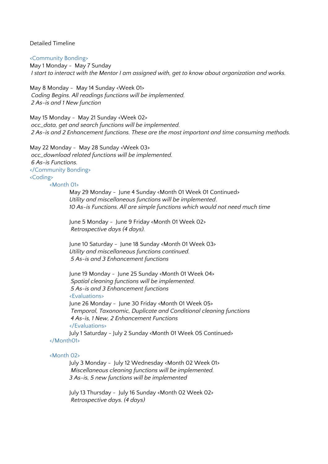Detailed Timeline

<Community Bonding> May 1 Monday - May 7 Sunday *I start to interact with the Mentor I am assigned with, get to know about organization and works.*

May 8 Monday - May 14 Sunday <Week 01> *Coding Begins. All readings functions will be implemented. 2 As-is and 1 New function*

May 15 Monday - May 21 Sunday <Week 02> *occ\_data, get and search functions will be implemented. 2 As-is and 2 Enhancement functions. These are the most important and time consuming methods.*

May 22 Monday - May 28 Sunday <Week 03> *occ\_download related functions will be implemented. 6 As-is Functions.* </Community Bonding> <Coding>

<Month 01>

May 29 Monday - June 4 Sunday <Month 01 Week 01 Continued> *Utility and miscellaneous functions will be implemented*. *10 As-is Functions. All are simple functions which would not need much time*

June 5 Monday - June 9 Friday <Month 01 Week 02> *Retrospective days (4 days).*

June 10 Saturday - June 18 Sunday <Month 01 Week 03> *Utility and miscellaneous functions continued. 5 As-is and 3 Enhancement functions*

June 19 Monday - June 25 Sunday <Month 01 Week 04> *Spatial cleaning functions will be implemented. 5 As-is and 3 Enhancement functions* <Evaluations> June 26 Monday - June 30 Friday <Month 01 Week 05> *Temporal, Taxonomic, Duplicate and Conditional cleaning functions 4 As-is, 1 New, 2 Enhancement Functions* </Evaluations> July 1 Saturday - July 2 Sunday <Month 01 Week 05 Continued> </Month01>

### <Month 02>

July 3 Monday - July 12 Wednesday <Month 02 Week 01> *Miscellaneous cleaning functions will be implemented. 3 As-is, 5 new functions will be implemented*

July 13 Thursday - July 16 Sunday <Month 02 Week 02> *Retrospective days. (4 days)*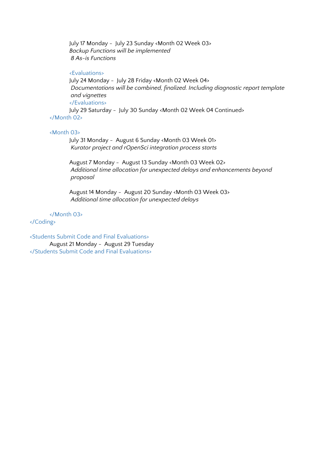July 17 Monday - July 23 Sunday <Month 02 Week 03> *Backup Functions will be implemented 8 As-is Functions*

### <Evaluations>

July 24 Monday - July 28 Friday <Month 02 Week 04> *Documentations will be combined, finalized. Including diagnostic report template and vignettes* </Evaluations> July 29 Saturday - July 30 Sunday <Month 02 Week 04 Continued> </Month 02>

### <Month 03>

July 31 Monday - August 6 Sunday <Month 03 Week 01> *Kurator project and rOpenSci integration process starts*

August 7 Monday - August 13 Sunday <Month 03 Week 02> *Additional time allocation for unexpected delays and enhancements beyond proposal*

August 14 Monday - August 20 Sunday <Month 03 Week 03> *Additional time allocation for unexpected delays*

</Month 03>

### </Coding>

<Students Submit Code and Final Evaluations> August 21 Monday - August 29 Tuesday </Students Submit Code and Final Evaluations>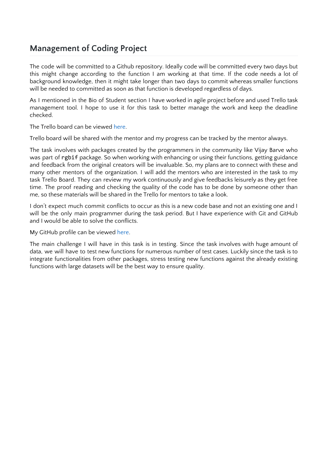# **Management of Coding Project**

The code will be committed to a Github repository. Ideally code will be committed every two days but this might change according to the function I am working at that time. If the code needs a lot of background knowledge, then it might take longer than two days to commit whereas smaller functions will be needed to committed as soon as that function is developed regardless of days.

As I mentioned in the Bio of Student section I have worked in agile project before and used Trello task management tool. I hope to use it for this task to better manage the work and keep the deadline checked.

The Trello board can be viewed [here](https://trello.com/b/GdxTwIHK/biodiv).

Trello board will be shared with the mentor and my progress can be tracked by the mentor always.

The task involves with packages created by the programmers in the community like Vijay Barve who was part of rgbif package. So when working with enhancing or using their functions, getting guidance and feedback from the original creators will be invaluable. So, my plans are to connect with these and many other mentors of the organization. I will add the mentors who are interested in the task to my task Trello Board. They can review my work continuously and give feedbacks leisurely as they get free time. The proof reading and checking the quality of the code has to be done by someone other than me, so these materials will be shared in the Trello for mentors to take a look.

I don't expect much commit conflicts to occur as this is a new code base and not an existing one and I will be the only main programmer during the task period. But I have experience with Git and GitHub and I would be able to solve the conflicts.

My GitHub profile can be viewed [here.](https://github.com/thiloshon)

The main challenge I will have in this task is in testing. Since the task involves with huge amount of data, we will have to test new functions for numerous number of test cases. Luckily since the task is to integrate functionalities from other packages, stress testing new functions against the already existing functions with large datasets will be the best way to ensure quality.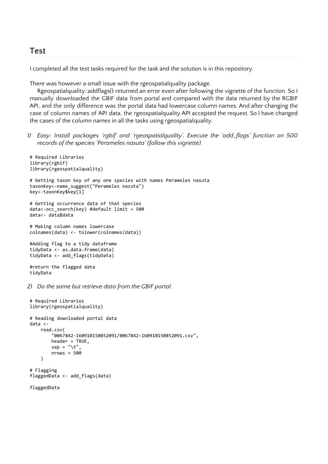### **Test**

I completed all the test tasks required for the task and the solution is in [this](https://github.com/thiloshon/GSOC) repository.

There was however a small issue with the rgeospatialquality package.

Rgeospatialquality::addflags() returned an error even after following the vignette of the function. So I manually downloaded the GBIF data from portal and compared with the data returned by the RGBIF API, and the only difference was the portal data had lowercase column names. And after changing the case of column names of API data, the rgeospatialquality API accepted the request. So I have changed the cases of the column names in all the tasks using rgeospatialquality.

*1) Easy: Install packages 'rgbif' and 'rgeospatialquality'. Execute the 'add\_flags' function on 500 records of the species 'Perameles nasuta' (follow this vignette).*

```
# Required Libraries
library(rgbif)
library(rgeospatialquality)
# Getting taxon key of any one species with names Perameles nasuta
taxonKey<-name_suggest("Perameles nasuta")
key<-taxonKey$key[1]
# Getting occurrence data of that species
data<-occ_search(key) #default limit = 500
data<- data$data
# Making column names lowercase
colnames(data) <- tolower(colnames(data))
#Adding flag to a tidy dataframe
tidyData <- as.data.frame(data)
tidyData <- add_flags(tidyData)
#return the flagged data
tidyData
```
*2) Do the same but retrieve data from the GBIF portal.*

```
# Required Libraries
library(rgeospatialquality)
# Reading downloaded portal data
data <-
     read.csv(
         "0067842-160910150852091/0067842-160910150852091.csv",
         header = TRUE,
         sep = "\t",
         nrows = 500
     )
# Flagging
flaggedData <- add_flags(data)
```

```
flaggedData
```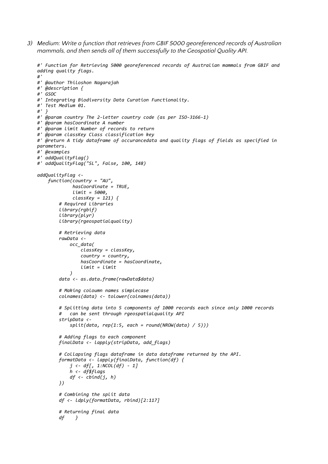*3) Medium: Write a function that retrieves from GBIF 5000 georeferenced records of Australian mammals, and then sends all of them successfully to the Geospatial Quality API.*

```
#' Function for Retrieving 5000 georeferenced records of Australian mammals from GBIF and
adding quality flags.
#'
#' @author Thiloshon Nagarajah
#' @description {
#' GSOC
#' Integrating Biodiversity Data Curation Functionality.
#' Test Medium 01.
#' }
#' @param country The 2-letter country code (as per ISO-3166-1)
#' @param hasCoordinate A number
#' @param limit Number of records to return
#' @param classKey Class classification key
#' @return A tidy dataframe of occurancedata and quality flags of fields as specified in
parameters.
#' @examples
#' addQualityFlag()
#' addQualityFlag("SL", False, 100, 148)
addQualityFlag <-
     function(country = "AU",
              hasCoordinate = TRUE,
              limit = 5000,
              classKey = 121) {
         # Required Libraries
         library(rgbif)
         library(plyr)
         library(rgeospatialquality)
         # Retrieving data
         rawData <-
             occ_data(
                 classKey = classKey,
                 country = country,
                 hasCoordinate = hasCoordinate,
                 limit = limit
 )
         data <- as.data.frame(rawData$data)
         # Making coloumn names simplecase
         colnames(data) <- tolower(colnames(data))
         # Splitting data into 5 components of 1000 records each since only 1000 records
            # can be sent through rgeospatialquality API
         stripData <-
             split(data, rep(1:5, each = round(NROW(data) / 5)))
         # Adding flags to each component
         finalData <- lapply(stripData, add_flags)
         # Collapsing flags dataframe in data dataframe returned by the API.
         formatData <- lapply(finalData, function(df) {
             j <- df[, 1:NCOL(df) - 1]
             h <- df$flags
             df <- cbind(j, h)
         })
         # Combining the split data
         df <- ldply(formatData, rbind)[2:117]
         # Returning final data
         df }
```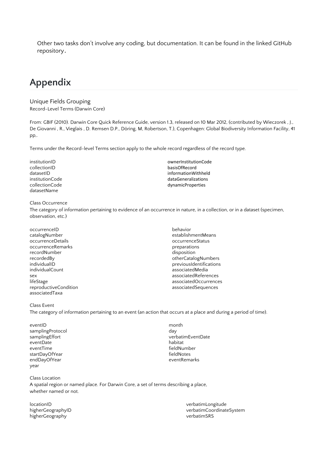Other two tasks don't involve any coding, but documentation. It can be found in the linked GitHub repository.

# **Appendix**

#### Unique Fields Grouping Record-Level Terms (Darwin Core)

From: GBIF (2010). Darwin Core Quick Reference Guide, version 1.3, released on 10 Mar 2012, (contributed by Wieczorek , J., De Giovanni , R., Vieglais , D. Remsen D.P., Döring, M, Robertson, T.), Copenhagen: Global Biodiversity Information Facility, 41 pp,.

Terms under the Record-level Terms section apply to the whole record regardless of the record type.

institutionID ownerInstitutionCode<br>
collectionID only basisOfRecord collectionID basisOfRecord<br>datasetID basisOfRecord<br>informationWi datasetID<br>
informationWithheld<br>
institutionCode<br>
institutionCode institutionCode and the control of the dataGeneralizations of the dataGeneralizations of the control of the dataGeneralizations of the control of the control of the control of the control of the control of the control of t datasetName

### Class Occurrence

The category of information pertaining to evidence of an occurrence in nature, in a collection, or in a dataset (specimen, observation, etc.)

- occurrenceID behavior occurrenceDetails and the control of the control of the control of the control of the control of the control of the control of the control of the control of the control of the control of the control of the control of the c occurrenceRemarks extended to the preparations occurrenceRemarks recordNumber disposition<br>recordedBy disposition<br>otherCatalc individualCount associatedMedia associatedTaxa
- establishmentMeans otherCatalogNumbers individualID previousIdentifications sex associatedReferences lifeStage associatedOccurrences reproductiveCondition associatedSequences

dynamicProperties

Class Event

The category of information pertaining to an event (an action that occurs at a place and during a period of time).

eventID month samplingProtocol day<br>samplingEffort day and day and day and day eventDate<br>eventTime startDayOfYear in the startDayOfYear fieldNotes fieldNotes<br>endDayOfYear fieldNotes endDayOfYear endDayOfYear year

Class Location A spatial region or named place. For Darwin Core, a set of terms describing a place, whether named or not.

higherGeography verbatimSRS

verbatimEventDate<br>habitat fieldNumber<br>fieldNotes

locationID verbatimLongitude higherGeographyID verbatimCoordinateSystem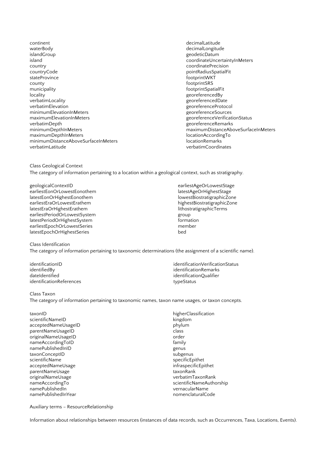- continent decimalLatitude waterBody **decimalLongitude** and the state of the state of the state of the state of the state of the state of the state of the state of the state of the state of the state of the state of the state of the state of the sta islandGroup geodeticDatum island coordinateUncertaintyInMeters country coordinatePrecision stateProvince footprintWKT county footprintSRS municipality footprintSpatialFit locality georeferencedBy verbatimLocality<br>
verbatimElevation<br>
verbatimElevation minimumElevationInMeters<br>maximumElevationInMeters maximumElevationInMeters extending the maximumElevationInMeters and the maximumElevationIndustrial control of t<br>  $\frac{1}{2}$  exploreferenceRemarks verbatimDepth<br>
minimumDepthInMeters
website and the settlement of the settlement of the settlement of the settlement of the settlement of the settlement of the settlement of the settlement of the settlement of the settleme maximumDepthInMeters<br>minimumDistanceAboveSurfaceInMeters locationAccordingTomagnum minimumDistanceAboveSurfaceInMeters<br>verbatimLatitude
	- pointRadiusSpatialFit georeferenceProtocol<br>georeferenceSources maximumDistanceAboveSurfaceInMeters<br>locationAccordingTo verbatimCoordinates

Class Geological Context The category of information pertaining to a location within a geological context, such as stratigraphy.

- geologicalContextID earliestAgeOrLowestStage earliestEonOrLowestEonothem latestAgeOrHighestStage latestEonOrHighestEonothem lowestBiostratigraphicZone earliestEraOrLowestErathem highestBiostratigraphicZone latestEraOrHighestErathem lithostratigraphicTerms earliestPeriodOrLowestSystem group latestPeriodOrHighestSystem formation earliestEpochOrLowestSeries member latestEpochOrHighestSeries bed
	-

#### Class Identification

The category of information pertaining to taxonomic determinations (the assignment of a scientific name).

identifiedBy identificationRemarks dateIdentified identificationQualifier identificationReferences typeStatus

identificationID identificationStatus in the intervention of the intervention of the intervention of the intervention  $\mathbf{S}$ 

#### Class Taxon

The category of information pertaining to taxonomic names, taxon name usages, or taxon concepts.

taxonID higherClassification scientificNameID<br>acceptedNameUsageID kingdom bhylum acceptedNameUsageID phylum parentNameUsageID class<br>originalNameUsageID contact and contact order originalNameUsageID order and the state of the state order order and the state order order and the state of th<br>
order and the state of the state of the state of the state of the state of the state of the state of the stat nameAccordingToID family<br>
namePublishedInID family<br>
genus namePublishedInID and the state of the state of the subgenus and the subgenus of the subgenus subgenus and the<br>
namePublishedInID and the subgenus subgenus taxonConceptID<br>scientificName acceptedNameUsage infraspecific<br>
arentNameUsage infraspecific parentNameUsage<br>originalNameUsage originalNameUsage verbatimTaxonRank<br>
nameAccordingTo verbatimTaxonRank<br>
verbatimTaxonRank verbatimTaxonRank namePublishedIn vernacularName namePublishedInYear nomenclaturalCode nomenclaturalCode

specificEpithet<br>infraspecificEpithet scientificNameAuthorship

Auxiliary terms – ResourceRelationship

Information about relationships between resources (instances of data records, such as Occurrences, Taxa, Locations, Events).